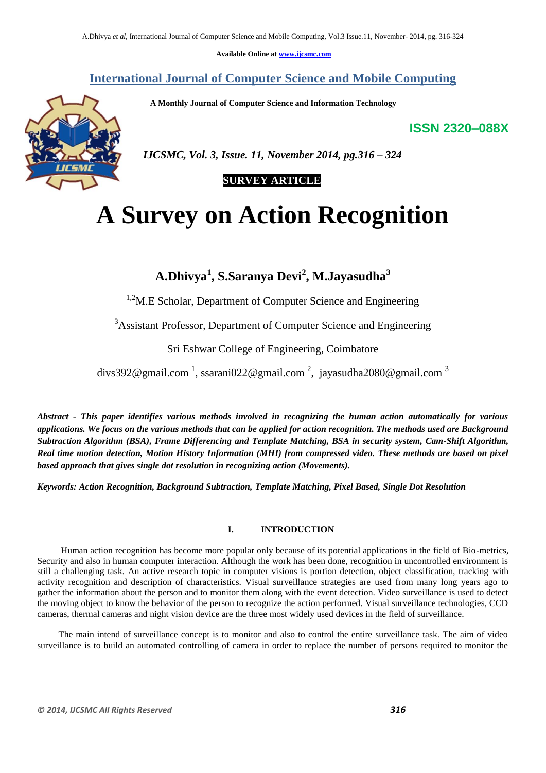**Available Online at www.ijcsmc.com**

**International Journal of Computer Science and Mobile Computing**

 **A Monthly Journal of Computer Science and Information Technology**

**ISSN 2320–088X**



 *IJCSMC, Vol. 3, Issue. 11, November 2014, pg.316 – 324*

## **SURVEY ARTICLE**

# **A Survey on Action Recognition**

**A.Dhivya<sup>1</sup> , S.Saranya Devi<sup>2</sup> , M.Jayasudha<sup>3</sup>**

 $1.2$ M.E Scholar, Department of Computer Science and Engineering

<sup>3</sup>Assistant Professor, Department of Computer Science and Engineering

Sri Eshwar College of Engineering, Coimbatore

divs392@gmail.com  $^1$ , ssarani022@gmail.com  $^2$ , jayasudha2080@gmail.com  $^3$ 

*Abstract - This paper identifies various methods involved in recognizing the human action automatically for various applications. We focus on the various methods that can be applied for action recognition. The methods used are Background Subtraction Algorithm (BSA), Frame Differencing and Template Matching, BSA in security system, Cam-Shift Algorithm, Real time motion detection, Motion History Information (MHI) from compressed video. These methods are based on pixel based approach that gives single dot resolution in recognizing action (Movements).*

*Keywords: Action Recognition, Background Subtraction, Template Matching, Pixel Based, Single Dot Resolution*

## **I. INTRODUCTION**

 Human action recognition has become more popular only because of its potential applications in the field of Bio-metrics, Security and also in human computer interaction. Although the work has been done, recognition in uncontrolled environment is still a challenging task. An active research topic in computer visions is portion detection, object classification, tracking with activity recognition and description of characteristics. Visual surveillance strategies are used from many long years ago to gather the information about the person and to monitor them along with the event detection. Video surveillance is used to detect the moving object to know the behavior of the person to recognize the action performed. Visual surveillance technologies, CCD cameras, thermal cameras and night vision device are the three most widely used devices in the field of surveillance.

 The main intend of surveillance concept is to monitor and also to control the entire surveillance task. The aim of video surveillance is to build an automated controlling of camera in order to replace the number of persons required to monitor the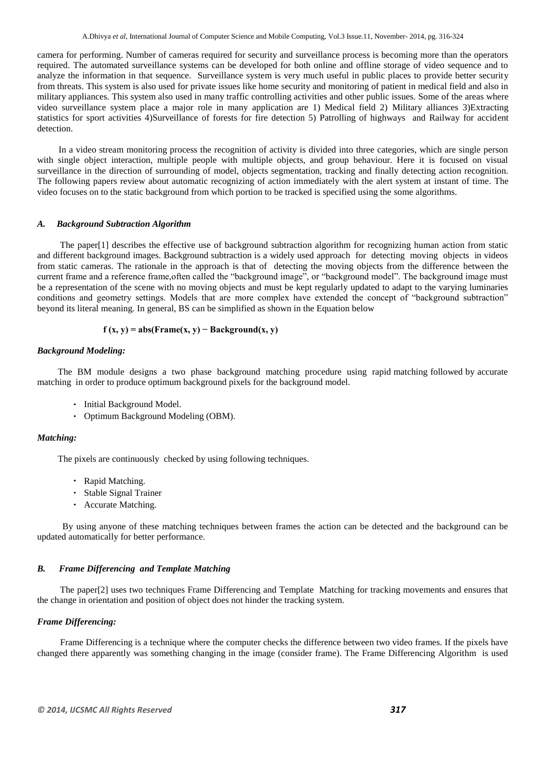camera for performing. Number of cameras required for security and surveillance process is becoming more than the operators required. The automated surveillance systems can be developed for both online and offline storage of video sequence and to analyze the information in that sequence. Surveillance system is very much useful in public places to provide better security from threats. This system is also used for private issues like home security and monitoring of patient in medical field and also in military appliances. This system also used in many traffic controlling activities and other public issues. Some of the areas where video surveillance system place a major role in many application are 1) Medical field 2) Military alliances 3)Extracting statistics for sport activities 4)Surveillance of forests for fire detection 5) Patrolling of highways and Railway for accident detection.

 In a video stream monitoring process the recognition of activity is divided into three categories, which are single person with single object interaction, multiple people with multiple objects, and group behaviour. Here it is focused on visual surveillance in the direction of surrounding of model, objects segmentation, tracking and finally detecting action recognition. The following papers review about automatic recognizing of action immediately with the alert system at instant of time. The video focuses on to the static background from which portion to be tracked is specified using the some algorithms.

#### *A. Background Subtraction Algorithm*

 The paper[1] describes the effective use of background subtraction algorithm for recognizing human action from static and different background images. Background subtraction is a widely used approach for detecting moving objects in videos from static cameras. The rationale in the approach is that of detecting the moving objects from the difference between the current frame and a reference frame,often called the "background image", or "background model". The background image must be a representation of the scene with no moving objects and must be kept regularly updated to adapt to the varying luminaries conditions and geometry settings. Models that are more complex have extended the concept of "background subtraction" beyond its literal meaning. In general, BS can be simplified as shown in the Equation below

## $f(x, y) = abs(Frame(x, y) - Background(x, y)$

#### *Background Modeling:*

 The BM module designs a two phase background matching procedure using rapid matching followed by accurate matching in order to produce optimum background pixels for the background model.

- Initial Background Model.
- Optimum Background Modeling (OBM).

## *Matching:*

The pixels are continuously checked by using following techniques.

- Rapid Matching.
- Stable Signal Trainer
- Accurate Matching.

 By using anyone of these matching techniques between frames the action can be detected and the background can be updated automatically for better performance.

#### *B. Frame Differencing and Template Matching*

 The paper[2] uses two techniques Frame Differencing and Template Matching for tracking movements and ensures that the change in orientation and position of object does not hinder the tracking system.

## *Frame Differencing:*

 Frame Differencing is a technique where the computer checks the difference between two video frames. If the pixels have changed there apparently was something changing in the image (consider frame). The Frame Differencing Algorithm is used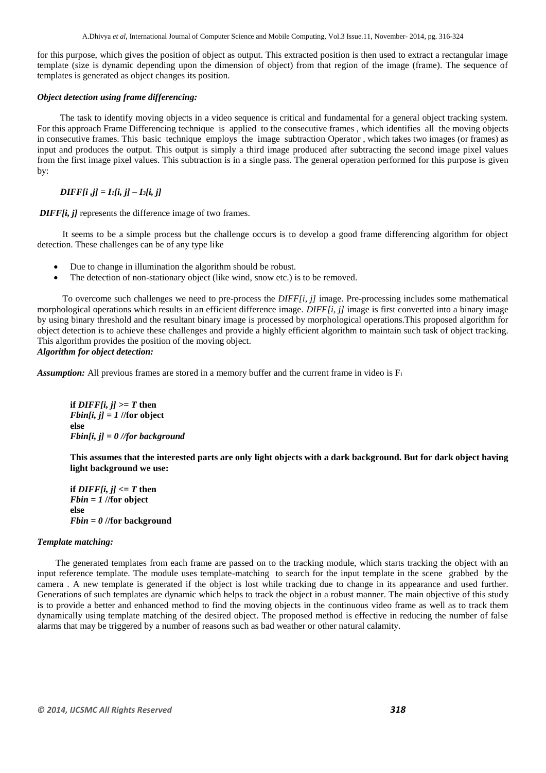A.Dhivya *et al*, International Journal of Computer Science and Mobile Computing, Vol.3 Issue.11, November- 2014, pg. 316-324

for this purpose, which gives the position of object as output. This extracted position is then used to extract a rectangular image template (size is dynamic depending upon the dimension of object) from that region of the image (frame). The sequence of templates is generated as object changes its position.

## *Object detection using frame differencing:*

 The task to identify moving objects in a video sequence is critical and fundamental for a general object tracking system. For this approach Frame Differencing technique is applied to the consecutive frames , which identifies all the moving objects in consecutive frames. This basic technique employs the image subtraction Operator , which takes two images (or frames) as input and produces the output. This output is simply a third image produced after subtracting the second image pixel values from the first image pixel values. This subtraction is in a single pass. The general operation performed for this purpose is given by:

## *DIFF[i ,j] = I1[i, j] – I3[i, j]*

*DIFF[i, j]* represents the difference image of two frames.

 It seems to be a simple process but the challenge occurs is to develop a good frame differencing algorithm for object detection. These challenges can be of any type like

- Due to change in illumination the algorithm should be robust.
- The detection of non-stationary object (like wind, snow etc.) is to be removed.

 To overcome such challenges we need to pre-process the *DIFF[i, j]* image. Pre-processing includes some mathematical morphological operations which results in an efficient difference image. *DIFF[i, j]* image is first converted into a binary image by using binary threshold and the resultant binary image is processed by morphological operations.This proposed algorithm for object detection is to achieve these challenges and provide a highly efficient algorithm to maintain such task of object tracking. This algorithm provides the position of the moving object.

## *Algorithm for object detection:*

*Assumption:* All previous frames are stored in a memory buffer and the current frame in video is F<sup>i</sup>

*if DIFF[i, j]* $>= T$  **then** *Fbin[i, j] = 1* **//for object else** *Fbin[i, j] = 0 //for background*

**This assumes that the interested parts are only light objects with a dark background. But for dark object having light background we use:**

**if** *DIFF[i, i]*  $\leq$  *T* then *Fbin = 1* **//for object else** *Fbin = 0* **//for background**

## *Template matching:*

The generated templates from each frame are passed on to the tracking module, which starts tracking the object with an input reference template. The module uses template-matching to search for the input template in the scene grabbed by the camera . A new template is generated if the object is lost while tracking due to change in its appearance and used further. Generations of such templates are dynamic which helps to track the object in a robust manner. The main objective of this study is to provide a better and enhanced method to find the moving objects in the continuous video frame as well as to track them dynamically using template matching of the desired object. The proposed method is effective in reducing the number of false alarms that may be triggered by a number of reasons such as bad weather or other natural calamity.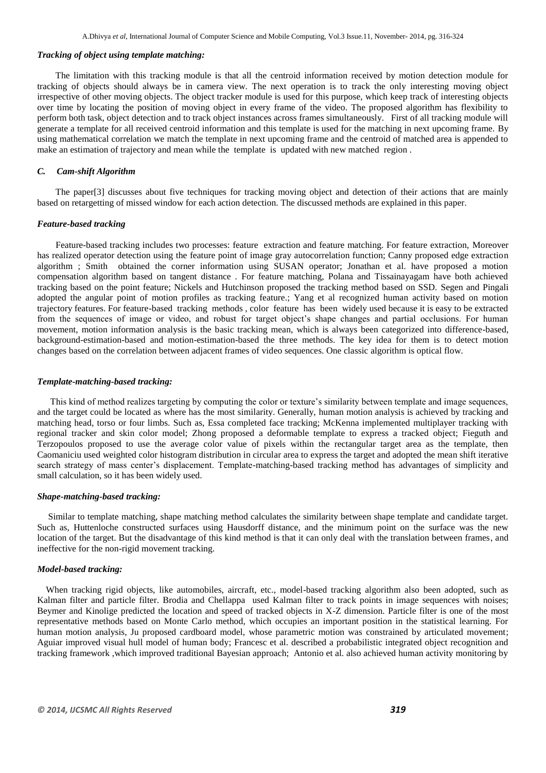## *Tracking of object using template matching:*

The limitation with this tracking module is that all the centroid information received by motion detection module for tracking of objects should always be in camera view. The next operation is to track the only interesting moving object irrespective of other moving objects. The object tracker module is used for this purpose, which keep track of interesting objects over time by locating the position of moving object in every frame of the video. The proposed algorithm has flexibility to perform both task, object detection and to track object instances across frames simultaneously. First of all tracking module will generate a template for all received centroid information and this template is used for the matching in next upcoming frame. By using mathematical correlation we match the template in next upcoming frame and the centroid of matched area is appended to make an estimation of trajectory and mean while the template is updated with new matched region .

#### *C. Cam-shift Algorithm*

 The paper[3] discusses about five techniques for tracking moving object and detection of their actions that are mainly based on retargetting of missed window for each action detection. The discussed methods are explained in this paper.

#### *Feature-based tracking*

Feature-based tracking includes two processes: feature extraction and feature matching. For feature extraction, Moreover has realized operator detection using the feature point of image gray autocorrelation function; Canny proposed edge extraction algorithm ; Smith obtained the corner information using SUSAN operator; Jonathan et al. have proposed a motion compensation algorithm based on tangent distance . For feature matching, Polana and Tissainayagam have both achieved tracking based on the point feature; Nickels and Hutchinson proposed the tracking method based on SSD. Segen and Pingali adopted the angular point of motion profiles as tracking feature.; Yang et al recognized human activity based on motion trajectory features. For feature-based tracking methods , color feature has been widely used because it is easy to be extracted from the sequences of image or video, and robust for target object's shape changes and partial occlusions. For human movement, motion information analysis is the basic tracking mean, which is always been categorized into difference-based, background-estimation-based and motion-estimation-based the three methods. The key idea for them is to detect motion changes based on the correlation between adjacent frames of video sequences. One classic algorithm is optical flow.

#### *Template-matching-based tracking:*

 This kind of method realizes targeting by computing the color or texture"s similarity between template and image sequences, and the target could be located as where has the most similarity. Generally, human motion analysis is achieved by tracking and matching head, torso or four limbs. Such as, Essa completed face tracking; McKenna implemented multiplayer tracking with regional tracker and skin color model; Zhong proposed a deformable template to express a tracked object; Fieguth and Terzopoulos proposed to use the average color value of pixels within the rectangular target area as the template, then Caomaniciu used weighted color histogram distribution in circular area to express the target and adopted the mean shift iterative search strategy of mass center's displacement. Template-matching-based tracking method has advantages of simplicity and small calculation, so it has been widely used.

#### *Shape-matching-based tracking:*

 Similar to template matching, shape matching method calculates the similarity between shape template and candidate target. Such as, Huttenloche constructed surfaces using Hausdorff distance, and the minimum point on the surface was the new location of the target. But the disadvantage of this kind method is that it can only deal with the translation between frames, and ineffective for the non-rigid movement tracking.

#### *Model-based tracking:*

When tracking rigid objects, like automobiles, aircraft, etc., model-based tracking algorithm also been adopted, such as Kalman filter and particle filter. Brodia and Chellappa used Kalman filter to track points in image sequences with noises; Beymer and Kinolige predicted the location and speed of tracked objects in X-Z dimension. Particle filter is one of the most representative methods based on Monte Carlo method, which occupies an important position in the statistical learning. For human motion analysis, Ju proposed cardboard model, whose parametric motion was constrained by articulated movement; Aguiar improved visual hull model of human body; Francesc et al. described a probabilistic integrated object recognition and tracking framework ,which improved traditional Bayesian approach; Antonio et al. also achieved human activity monitoring by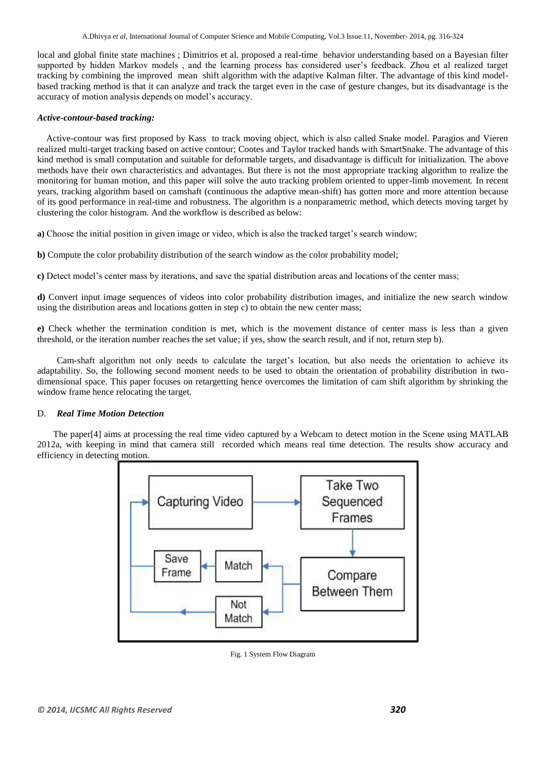local and global finite state machines ; Dimitrios et al. proposed a real-time behavior understanding based on a Bayesian filter supported by hidden Markov models, and the learning process has considered user's feedback. Zhou et al realized target tracking by combining the improved mean shift algorithm with the adaptive Kalman filter. The advantage of this kind modelbased tracking method is that it can analyze and track the target even in the case of gesture changes, but its disadvantage is the accuracy of motion analysis depends on model"s accuracy.

### *Active-contour-based tracking:*

 Active-contour was first proposed by Kass to track moving object, which is also called Snake model. Paragios and Vieren realized multi-target tracking based on active contour; Cootes and Taylor tracked hands with SmartSnake. The advantage of this kind method is small computation and suitable for deformable targets, and disadvantage is difficult for initialization. The above methods have their own characteristics and advantages. But there is not the most appropriate tracking algorithm to realize the monitoring for human motion, and this paper will solve the auto tracking problem oriented to upper-limb movement. In recent years, tracking algorithm based on camshaft (continuous the adaptive mean-shift) has gotten more and more attention because of its good performance in real-time and robustness. The algorithm is a nonparametric method, which detects moving target by clustering the color histogram. And the workflow is described as below:

**a)** Choose the initial position in given image or video, which is also the tracked target"s search window;

**b)** Compute the color probability distribution of the search window as the color probability model;

**c**) Detect model's center mass by iterations, and save the spatial distribution areas and locations of the center mass;

**d)** Convert input image sequences of videos into color probability distribution images, and initialize the new search window using the distribution areas and locations gotten in step c) to obtain the new center mass;

**e)** Check whether the termination condition is met, which is the movement distance of center mass is less than a given threshold, or the iteration number reaches the set value; if yes, show the search result, and if not, return step b).

 Cam-shaft algorithm not only needs to calculate the target"s location, but also needs the orientation to achieve its adaptability. So, the following second moment needs to be used to obtain the orientation of probability distribution in twodimensional space. This paper focuses on retargetting hence overcomes the limitation of cam shift algorithm by shrinking the window frame hence relocating the target.

## D. *Real Time Motion Detection*

 The paper[4] aims at processing the real time video captured by a Webcam to detect motion in the Scene using MATLAB 2012a, with keeping in mind that camera still recorded which means real time detection. The results show accuracy and efficiency in detecting motion.



Fig. 1 System Flow Diagram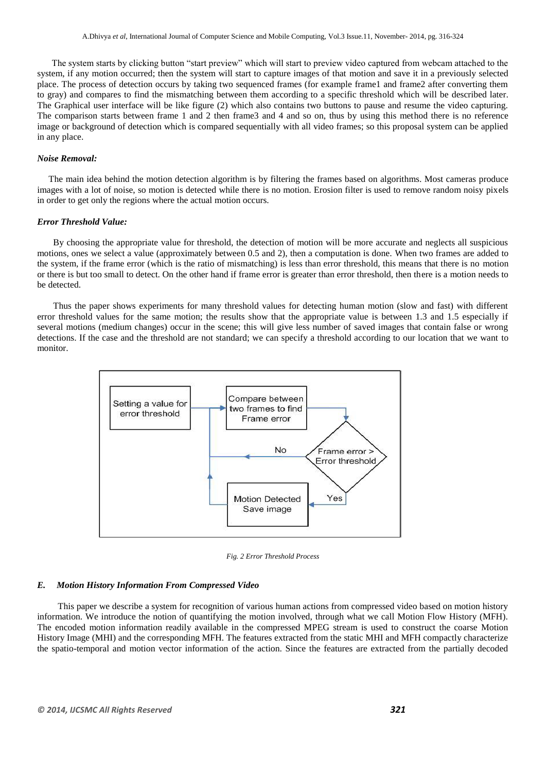The system starts by clicking button "start preview" which will start to preview video captured from webcam attached to the system, if any motion occurred; then the system will start to capture images of that motion and save it in a previously selected place. The process of detection occurs by taking two sequenced frames (for example frame1 and frame2 after converting them to gray) and compares to find the mismatching between them according to a specific threshold which will be described later. The Graphical user interface will be like figure (2) which also contains two buttons to pause and resume the video capturing. The comparison starts between frame 1 and 2 then frame3 and 4 and so on, thus by using this method there is no reference image or background of detection which is compared sequentially with all video frames; so this proposal system can be applied in any place.

#### *Noise Removal:*

The main idea behind the motion detection algorithm is by filtering the frames based on algorithms. Most cameras produce images with a lot of noise, so motion is detected while there is no motion. Erosion filter is used to remove random noisy pixels in order to get only the regions where the actual motion occurs.

#### *Error Threshold Value:*

 By choosing the appropriate value for threshold, the detection of motion will be more accurate and neglects all suspicious motions, ones we select a value (approximately between 0.5 and 2), then a computation is done. When two frames are added to the system, if the frame error (which is the ratio of mismatching) is less than error threshold, this means that there is no motion or there is but too small to detect. On the other hand if frame error is greater than error threshold, then there is a motion needs to be detected.

 Thus the paper shows experiments for many threshold values for detecting human motion (slow and fast) with different error threshold values for the same motion; the results show that the appropriate value is between 1.3 and 1.5 especially if several motions (medium changes) occur in the scene; this will give less number of saved images that contain false or wrong detections. If the case and the threshold are not standard; we can specify a threshold according to our location that we want to monitor.



*Fig. 2 Error Threshold Process*

#### *E. Motion History Information From Compressed Video*

 This paper we describe a system for recognition of various human actions from compressed video based on motion history information. We introduce the notion of quantifying the motion involved, through what we call Motion Flow History (MFH). The encoded motion information readily available in the compressed MPEG stream is used to construct the coarse Motion History Image (MHI) and the corresponding MFH. The features extracted from the static MHI and MFH compactly characterize the spatio-temporal and motion vector information of the action. Since the features are extracted from the partially decoded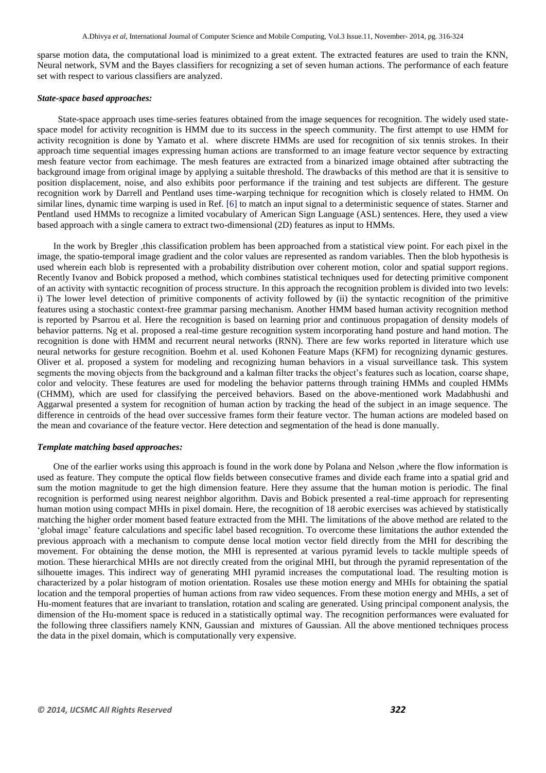sparse motion data, the computational load is minimized to a great extent. The extracted features are used to train the KNN, Neural network, SVM and the Bayes classifiers for recognizing a set of seven human actions. The performance of each feature set with respect to various classifiers are analyzed.

#### *State-space based approaches:*

 State-space approach uses time-series features obtained from the image sequences for recognition. The widely used statespace model for activity recognition is HMM due to its success in the speech community. The first attempt to use HMM for activity recognition is done by Yamato et al. where discrete HMMs are used for recognition of six tennis strokes. In their approach time sequential images expressing human actions are transformed to an image feature vector sequence by extracting mesh feature vector from eachimage. The mesh features are extracted from a binarized image obtained after subtracting the background image from original image by applying a suitable threshold. The drawbacks of this method are that it is sensitive to position displacement, noise, and also exhibits poor performance if the training and test subjects are different. The gesture recognition work by Darrell and Pentland uses time-warping technique for recognition which is closely related to HMM. On similar lines, dynamic time warping is used in Ref. [6] to match an input signal to a deterministic sequence of states. Starner and Pentland used HMMs to recognize a limited vocabulary of American Sign Language (ASL) sentences. Here, they used a view based approach with a single camera to extract two-dimensional (2D) features as input to HMMs.

 In the work by Bregler ,this classification problem has been approached from a statistical view point. For each pixel in the image, the spatio-temporal image gradient and the color values are represented as random variables. Then the blob hypothesis is used wherein each blob is represented with a probability distribution over coherent motion, color and spatial support regions. Recently Ivanov and Bobick proposed a method, which combines statistical techniques used for detecting primitive component of an activity with syntactic recognition of process structure. In this approach the recognition problem is divided into two levels: i) The lower level detection of primitive components of activity followed by (ii) the syntactic recognition of the primitive features using a stochastic context-free grammar parsing mechanism. Another HMM based human activity recognition method is reported by Psarrou et al. Here the recognition is based on learning prior and continuous propagation of density models of behavior patterns. Ng et al. proposed a real-time gesture recognition system incorporating hand posture and hand motion. The recognition is done with HMM and recurrent neural networks (RNN). There are few works reported in literature which use neural networks for gesture recognition. Boehm et al. used Kohonen Feature Maps (KFM) for recognizing dynamic gestures. Oliver et al. proposed a system for modeling and recognizing human behaviors in a visual surveillance task. This system segments the moving objects from the background and a kalman filter tracks the object"s features such as location, coarse shape, color and velocity. These features are used for modeling the behavior patterns through training HMMs and coupled HMMs (CHMM), which are used for classifying the perceived behaviors. Based on the above-mentioned work Madabhushi and Aggarwal presented a system for recognition of human action by tracking the head of the subject in an image sequence. The difference in centroids of the head over successive frames form their feature vector. The human actions are modeled based on the mean and covariance of the feature vector. Here detection and segmentation of the head is done manually.

#### *Template matching based approaches:*

 One of the earlier works using this approach is found in the work done by Polana and Nelson ,where the flow information is used as feature. They compute the optical flow fields between consecutive frames and divide each frame into a spatial grid and sum the motion magnitude to get the high dimension feature. Here they assume that the human motion is periodic. The final recognition is performed using nearest neighbor algorithm. Davis and Bobick presented a real-time approach for representing human motion using compact MHIs in pixel domain. Here, the recognition of 18 aerobic exercises was achieved by statistically matching the higher order moment based feature extracted from the MHI. The limitations of the above method are related to the "global image" feature calculations and specific label based recognition. To overcome these limitations the author extended the previous approach with a mechanism to compute dense local motion vector field directly from the MHI for describing the movement. For obtaining the dense motion, the MHI is represented at various pyramid levels to tackle multiple speeds of motion. These hierarchical MHIs are not directly created from the original MHI, but through the pyramid representation of the silhouette images. This indirect way of generating MHI pyramid increases the computational load. The resulting motion is characterized by a polar histogram of motion orientation. Rosales use these motion energy and MHIs for obtaining the spatial location and the temporal properties of human actions from raw video sequences. From these motion energy and MHIs, a set of Hu-moment features that are invariant to translation, rotation and scaling are generated. Using principal component analysis, the dimension of the Hu-moment space is reduced in a statistically optimal way. The recognition performances were evaluated for the following three classifiers namely KNN, Gaussian and mixtures of Gaussian. All the above mentioned techniques process the data in the pixel domain, which is computationally very expensive.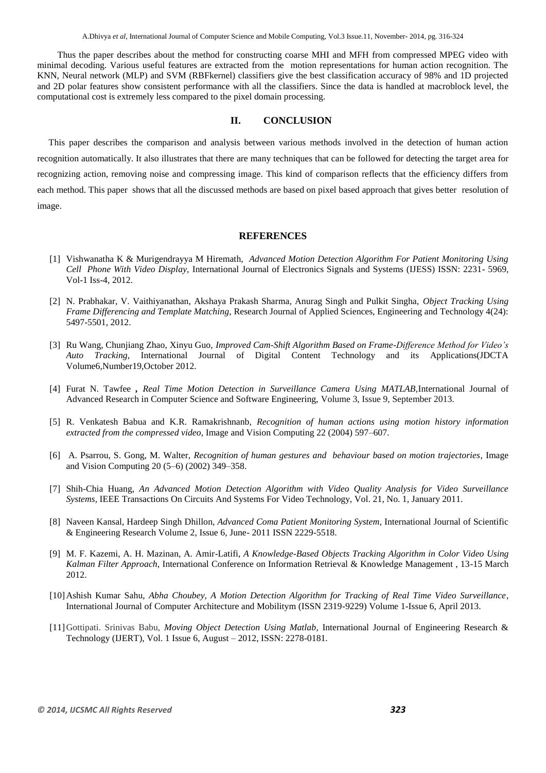Thus the paper describes about the method for constructing coarse MHI and MFH from compressed MPEG video with minimal decoding. Various useful features are extracted from the motion representations for human action recognition. The KNN, Neural network (MLP) and SVM (RBFkernel) classifiers give the best classification accuracy of 98% and 1D projected and 2D polar features show consistent performance with all the classifiers. Since the data is handled at macroblock level, the computational cost is extremely less compared to the pixel domain processing.

## **II. CONCLUSION**

This paper describes the comparison and analysis between various methods involved in the detection of human action recognition automatically. It also illustrates that there are many techniques that can be followed for detecting the target area for recognizing action, removing noise and compressing image. This kind of comparison reflects that the efficiency differs from each method. This paper shows that all the discussed methods are based on pixel based approach that gives better resolution of image.

#### **REFERENCES**

- [1] Vishwanatha K & Murigendrayya M Hiremath, *Advanced Motion Detection Algorithm For Patient Monitoring Using Cell Phone With Video Display,* International Journal of Electronics Signals and Systems (IJESS) ISSN: 2231- 5969, Vol-1 Iss-4, 2012.
- [2] N. Prabhakar, V. Vaithiyanathan, Akshaya Prakash Sharma, Anurag Singh and Pulkit Singha, *Object Tracking Using Frame Differencing and Template Matching,* Research Journal of Applied Sciences, Engineering and Technology 4(24): 5497-5501, 2012.
- [3] Ru Wang, Chunjiang Zhao, Xinyu Guo, *Improved Cam-Shift Algorithm Based on Frame-Difference Method for Video's Auto Tracking,* International Journal of Digital Content Technology and its Applications(JDCTA Volume6,Number19,October 2012.
- [4] Furat N. Tawfee *, Real Time Motion Detection in Surveillance Camera Using MATLAB,*International Journal of Advanced Research in Computer Science and Software Engineering, Volume 3, Issue 9, September 2013.
- [5] R. Venkatesh Babua and K.R. Ramakrishnanb, *Recognition of human actions using motion history information extracted from the compressed video,* Image and Vision Computing 22 (2004) 597–607.
- [6] A. Psarrou, S. Gong, M. Walter, *Recognition of human gestures and behaviour based on motion trajectories*, Image and Vision Computing 20 (5–6) (2002) 349–358.
- [7] Shih-Chia Huang, *An Advanced Motion Detection Algorithm with Video Quality Analysis for Video Surveillance Systems*, IEEE Transactions On Circuits And Systems For Video Technology, Vol. 21, No. 1, January 2011.
- [8] Naveen Kansal, Hardeep Singh Dhillon, *Advanced Coma Patient Monitoring System*, International Journal of Scientific & Engineering Research Volume 2, Issue 6, June- 2011 ISSN 2229-5518.
- [9] M. F. Kazemi, A. H. Mazinan, A. Amir-Latifi, *A Knowledge-Based Objects Tracking Algorithm in Color Video Using Kalman Filter Approach*, International Conference on Information Retrieval & Knowledge Management , 13-15 March 2012.
- [10]Ashish Kumar Sahu, *Abha Choubey, A Motion Detection Algorithm for Tracking of Real Time Video Surveillance*, International Journal of Computer Architecture and Mobilitym (ISSN 2319-9229) Volume 1-Issue 6, April 2013.
- [11]Gottipati. Srinivas Babu, *Moving Object Detection Using Matlab*, International Journal of Engineering Research & Technology (IJERT), Vol. 1 Issue 6, August – 2012, ISSN: 2278-0181.